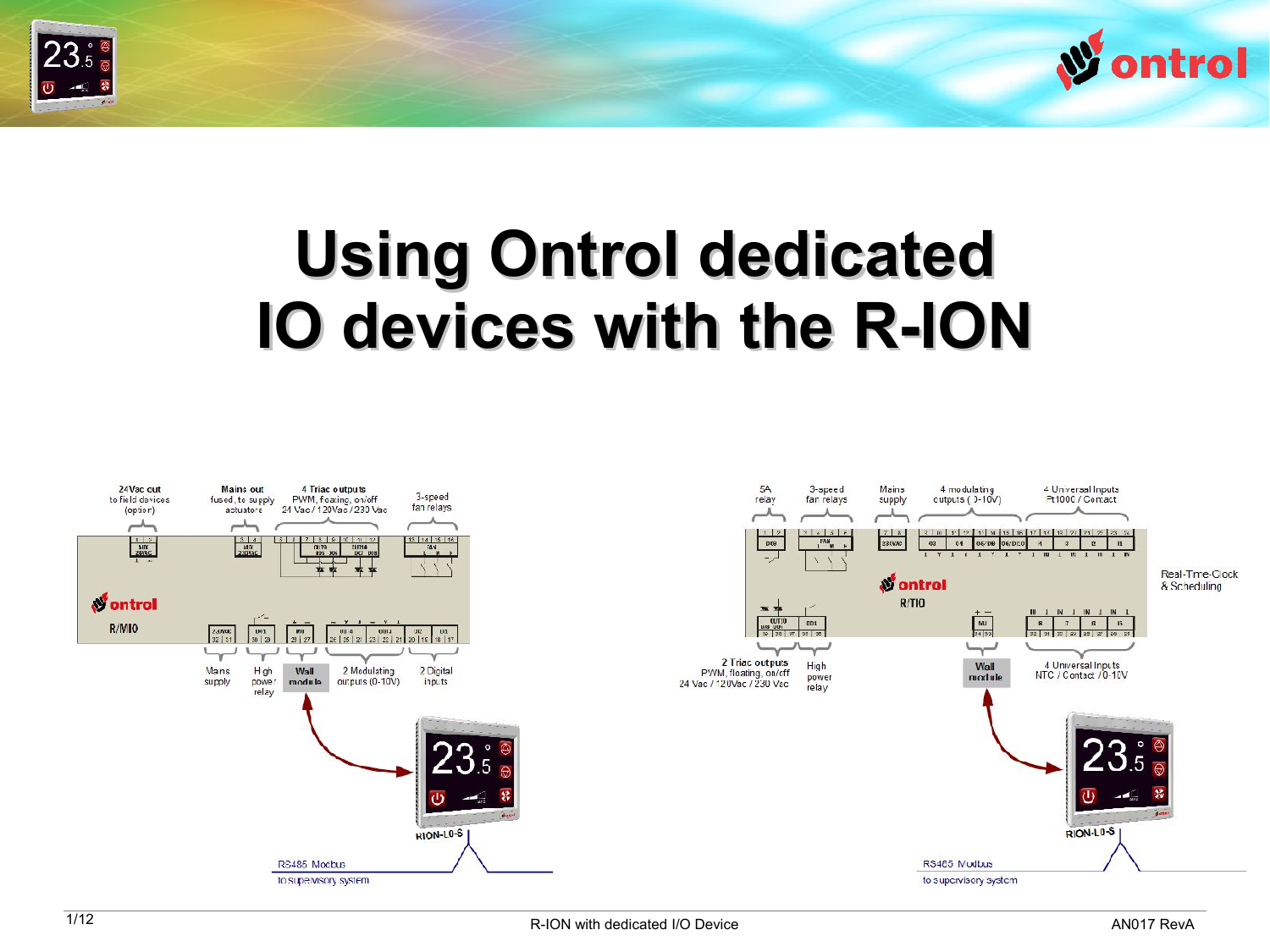



# **Using Ontrol dedicated IO devices with the R-ION**

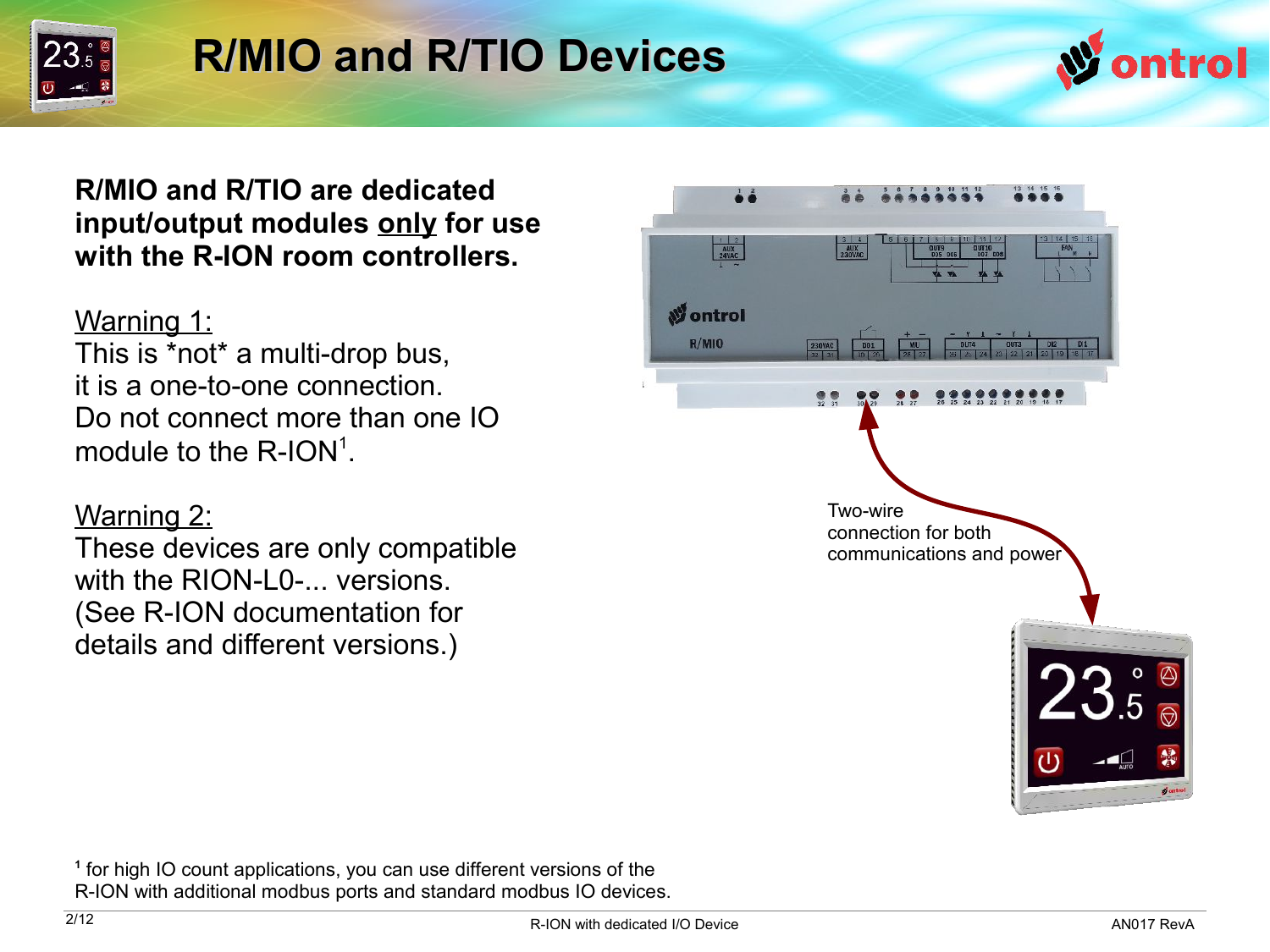

### **R/MIO and R/TIO Devices**



**R/MIO and R/TIO are dedicated input/output modules only for use with the R-ION room controllers.**

#### Warning 1:

This is \*not\* a multi-drop bus, it is a one-to-one connection. Do not connect more than one IO module to the  $R$ -ION $<sup>1</sup>$ .</sup>

#### Warning 2:

These devices are only compatible with the RION-L0-... versions. (See R-ION documentation for details and different versions.)



**1** for high IO count applications, you can use different versions of the R-ION with additional modbus ports and standard modbus IO devices.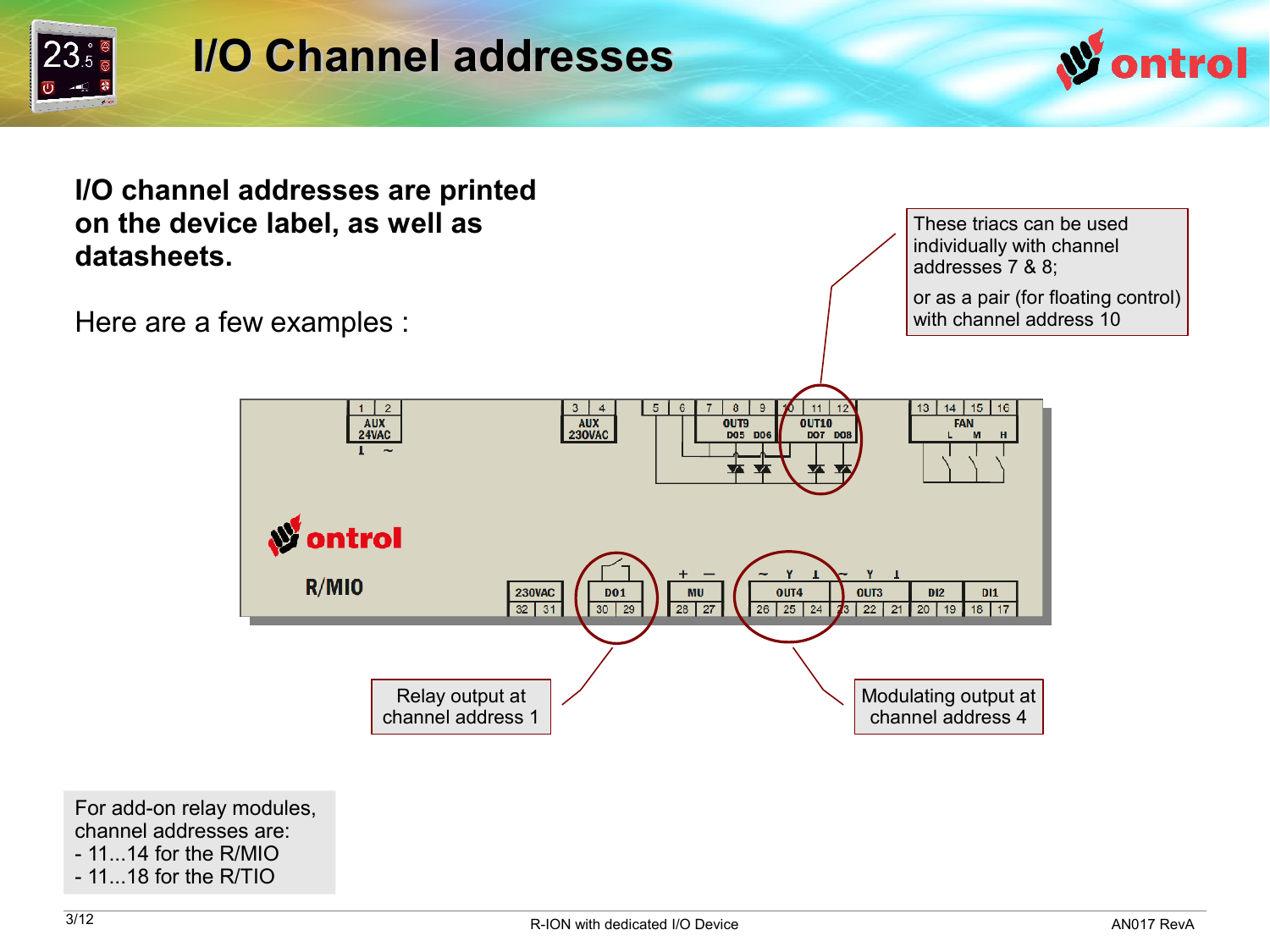

### **I/O Channel addresses**

channel address 1



**I/O channel addresses are printed on the device label, as well as datasheets.**

 $1 \mid 2$ 

 $\overline{AUX}$ <br>24VAC

 $R/M10$ 

Here are a few examples :

These triacs can be used individually with channel addresses 7 & 8; or as a pair (for floating control) with channel address 10  $3 \mid 4$  $5<sup>1</sup>$  $6$  $\overline{8}$  $\overline{9}$  $11$ 13 14 15 16 AUX<br>230VAC **OUT9**<br>DO5 DO6  $\overline{0}$ UT<sub>10</sub> FAN **DO7 DO8 An** ontrol 230VAC **DO1 MU** OUT4 OUT3 **DI2**  $DI1$  $\frac{22}{32}$ 28 27 26 25 24 23 22 21 20 19 18 17  $30$  | 29 Relay output at Modulating output at

channel address 4

For add-on relay modules, channel addresses are:

- 11...14 for the R/MIO
- 11...18 for the R/TIO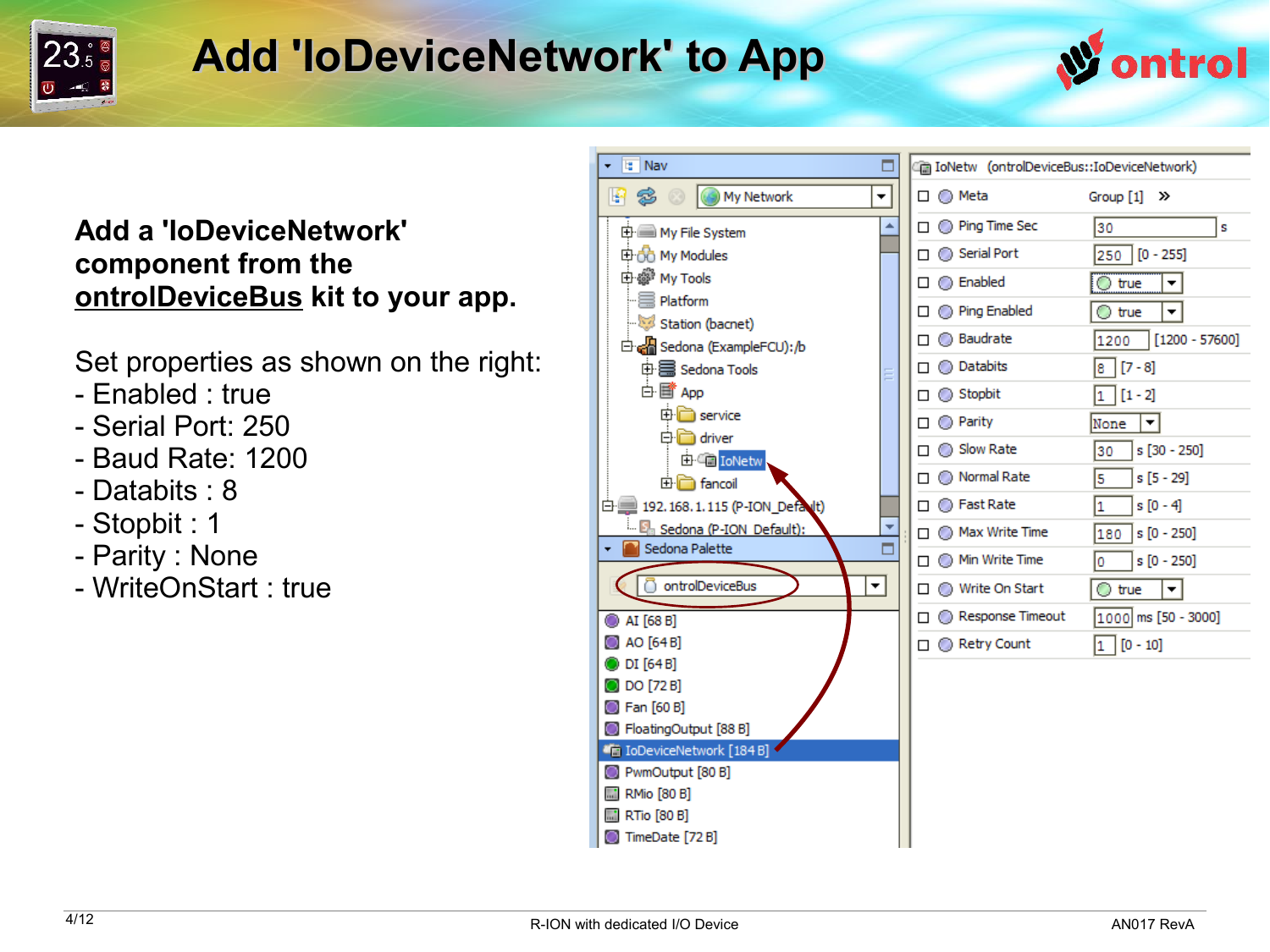

### **Add 'IoDeviceNetwork' to App**



#### **Add a 'IoDeviceNetwork' component from the ontrolDeviceBus kit to your app.**

Set properties as shown on the right:

- Enabled : true
- Serial Port: 250
- Baud Rate: 1200
- Databits : 8
- Stopbit : 1
- Parity : None
- WriteOnStart : true

| la Nav<br>٠                                         | In IoNetw (ontrolDeviceBus::IoDeviceNetwork) |                          |
|-----------------------------------------------------|----------------------------------------------|--------------------------|
| My Network<br>嘢<br>S<br>▼                           | □ ◎ Meta                                     | Group [1] >>             |
| <b>中■ My File System</b>                            | $\Box$ $\bigcirc$ Ping Time Sec              | 30<br>s                  |
| 由do My Modules                                      | $\Box$ Serial Port                           | $250$ $[0 - 255]$        |
| 由@ My Tools                                         | $\square$ $\bigcirc$ Enabled                 | $\circ$ true<br>▾╎       |
| $\equiv$ Platform                                   | $\Box$ $\bigcirc$ Ping Enabled               | ◯ true<br>▾╎             |
| Station (bacnet)                                    | $\Box$ <b>Baudrate</b>                       | $[1200 - 57600]$<br>1200 |
| 白e Sedona (ExampleFCU):/b                           |                                              |                          |
| 中国 Sedona Tools<br>Ξ                                | $\Box$ $\bigcirc$ Databits                   | $[7 - 8]$<br>8           |
| 白昏 App                                              | $\Box$ Stopbit                               | $[1 - 2]$<br>1           |
| <b>中</b> □ service<br><b>D</b> driver               | $\Box$ $\bigcirc$ Parity                     | None<br>▾∣               |
| 由 C IoNetw                                          | $\Box$ Slow Rate                             | $s[30 - 250]$<br>30      |
| <b>E</b> ancoil                                     | □ ◎ Normal Rate                              | 5<br>s [5 - 29]          |
| □ 192.168.1.115 (P-ION_Default)                     | $\Box$ $\bigcirc$ Fast Rate                  | 1<br>$s[0 - 4]$          |
| En Sedona (P-ION Default):                          | $\Box$ $\Box$ Max Write Time                 | 180<br>$s[0 - 250]$      |
| Sedona Palette<br>۰                                 | $\Box$ Min Write Time                        | Ō<br>$s[0 - 250]$        |
| ntrolDeviceBus<br>$\overline{\phantom{a}}$          | □ ● Write On Start                           | $\bigcirc$ true<br>▾∣    |
| C AI [68 B]                                         | Response Timeout                             | 1000 ms [50 - 3000]      |
| AO [64 B]                                           | □ ◎ Retry Count                              | $[0 - 10]$<br>1          |
| ODI [64B]                                           |                                              |                          |
| O DO [72 B]                                         |                                              |                          |
| <b>B</b> Fan [60 B]                                 |                                              |                          |
| FloatingOutput [88 B]<br>Ti IoDeviceNetwork [184 B] |                                              |                          |
| PwmOutput [80 B]                                    |                                              |                          |
| <b>M</b> RMio [80 B]                                |                                              |                          |
| <b>M</b> RTio [80 B]                                |                                              |                          |
| TimeDate [72 B]                                     |                                              |                          |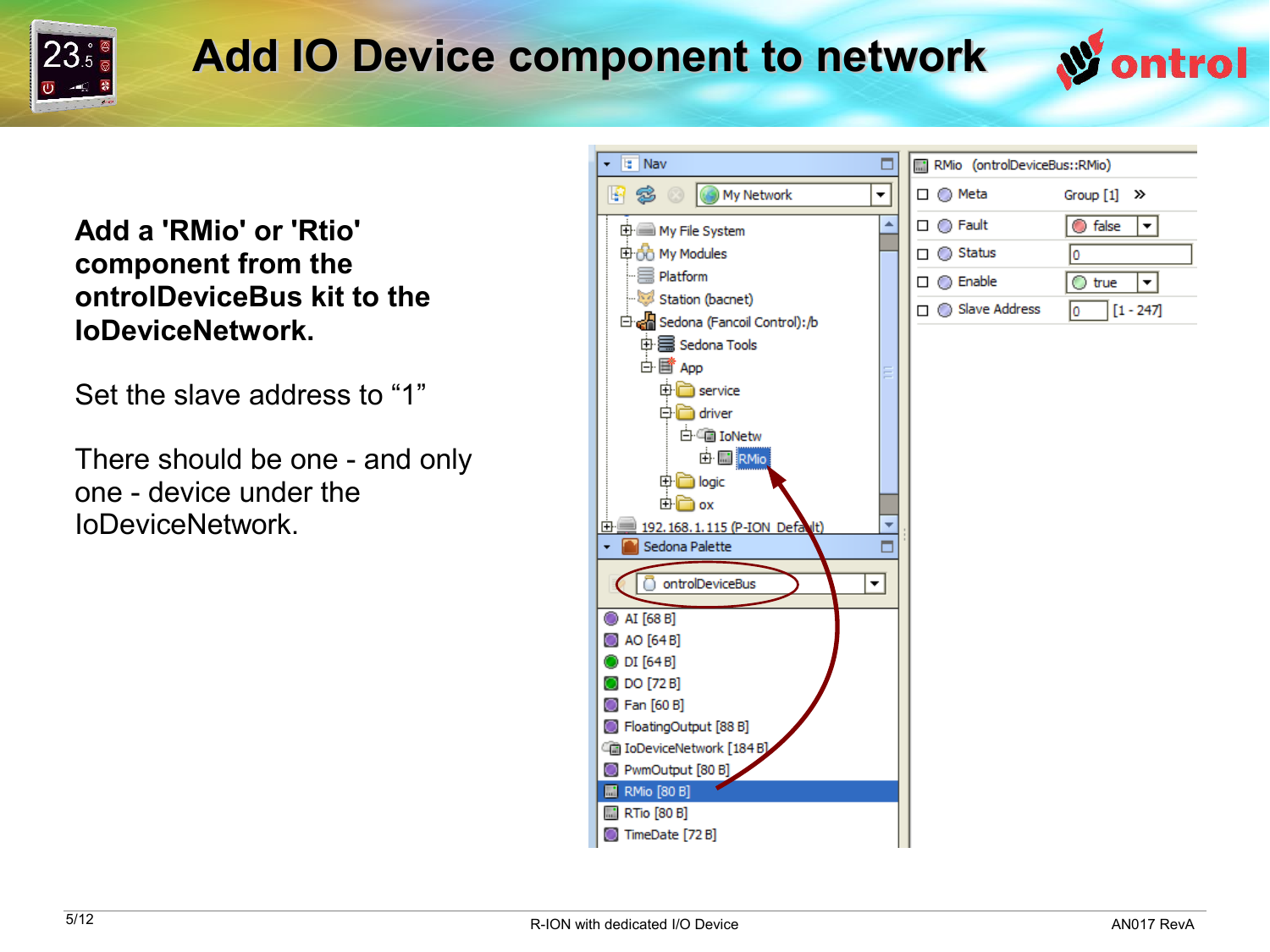

### **Add IO Device component to network**

**Add a 'RMio' or 'Rtio' component from the ontrolDeviceBus kit to the IoDeviceNetwork.**

Set the slave address to "1"

There should be one - and only one - device under the IoDeviceNetwork.



ontrol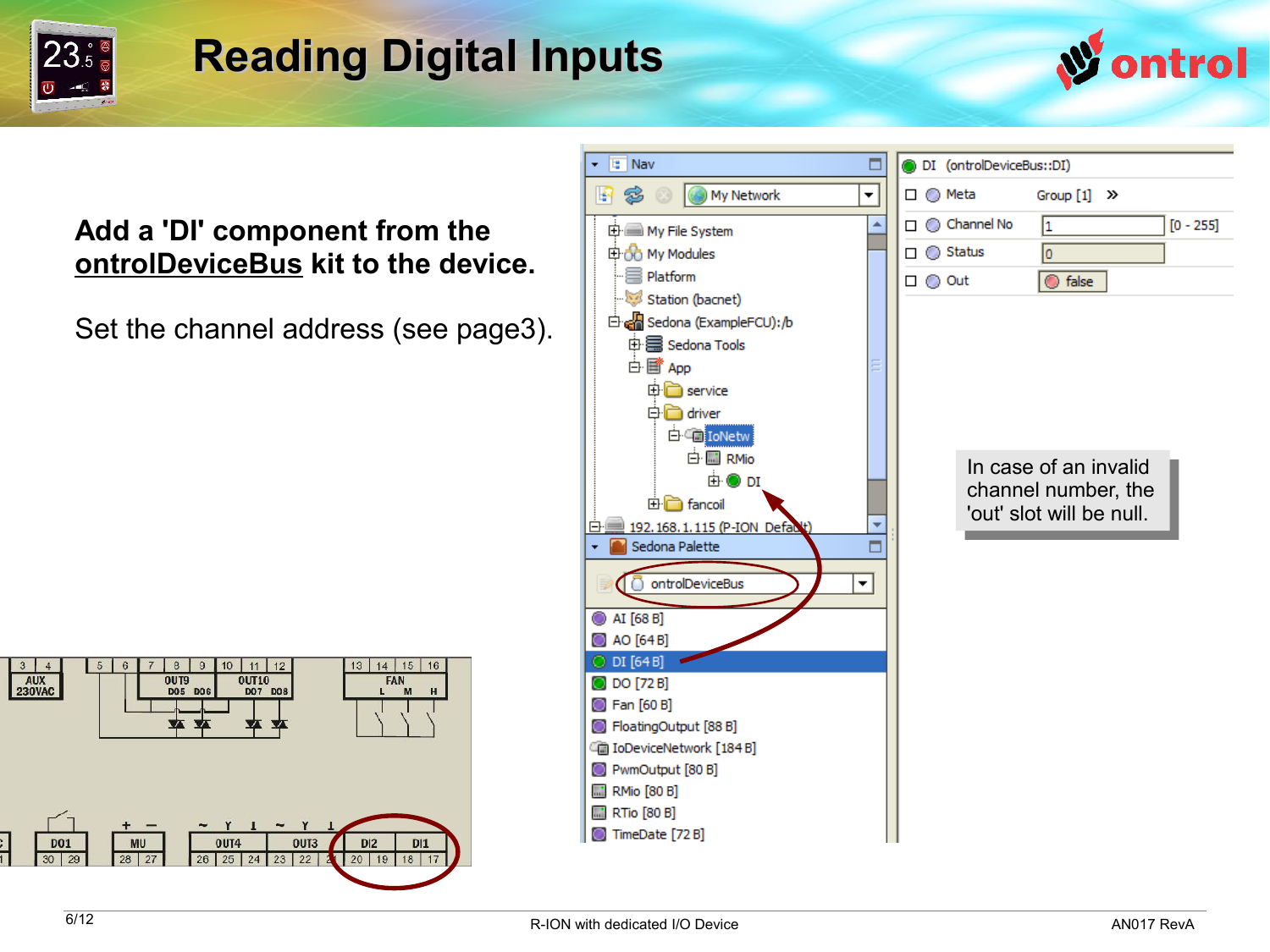

### **Reading Digital Inputs**



#### **Add a 'DI' component from the ontrolDeviceBus kit to the device.**

Set the channel address (see page3).



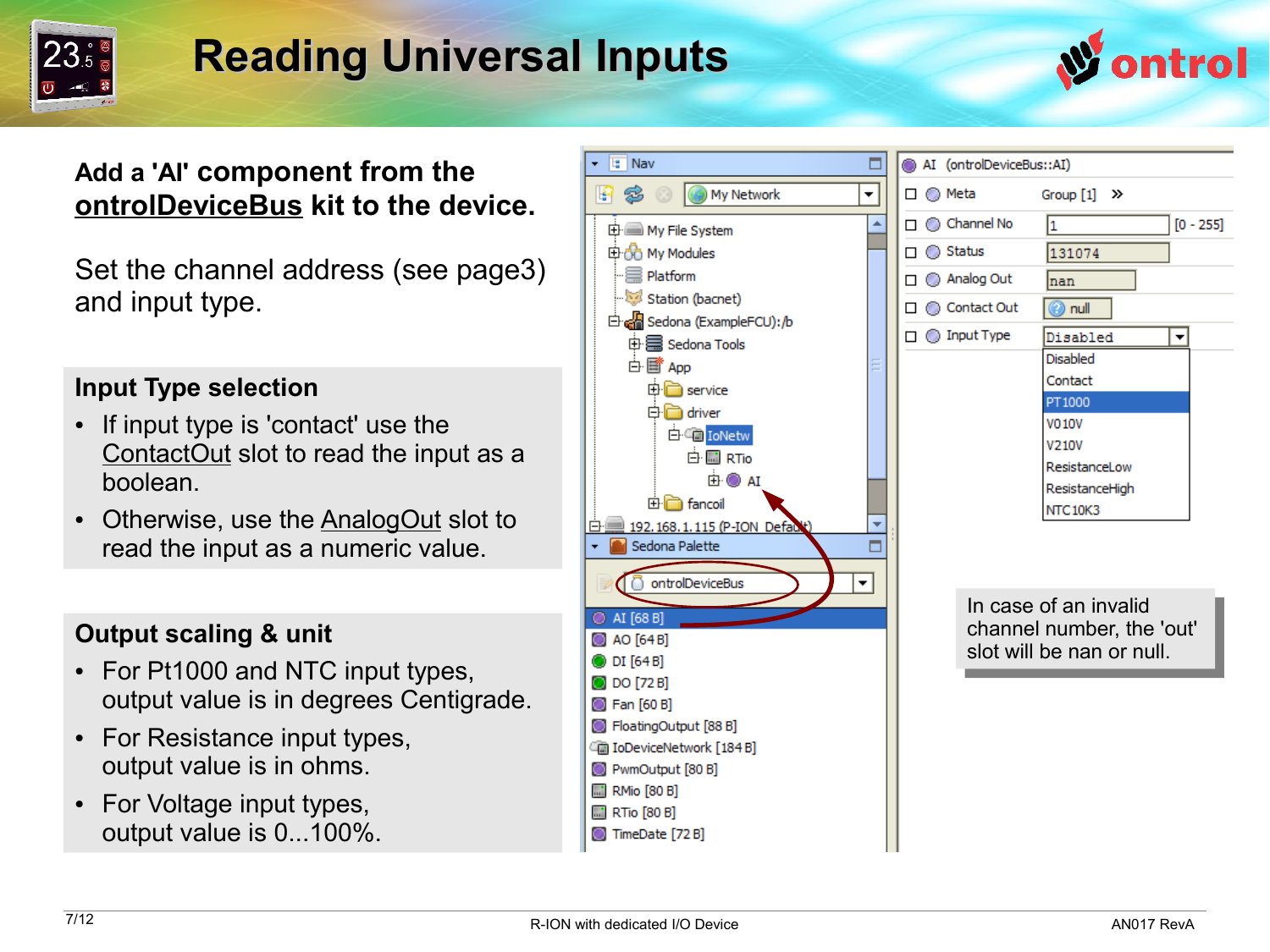

### **Reading Universal Inputs**



#### **Add a 'AI' component from the ontrolDeviceBus kit to the device.**

Set the channel address (see page3) and input type.

#### **Input Type selection**

- If input type is 'contact' use the ContactOut slot to read the input as a boolean.
- Otherwise, use the AnalogOut slot to read the input as a numeric value.

#### **Output scaling & unit**

- For Pt1000 and NTC input types, output value is in degrees Centigrade.
- For Resistance input types, output value is in ohms.
- For Voltage input types, output value is 0...100%.



**M** RMio [80 B] **M** RTio [80 B] TimeDate [72 B]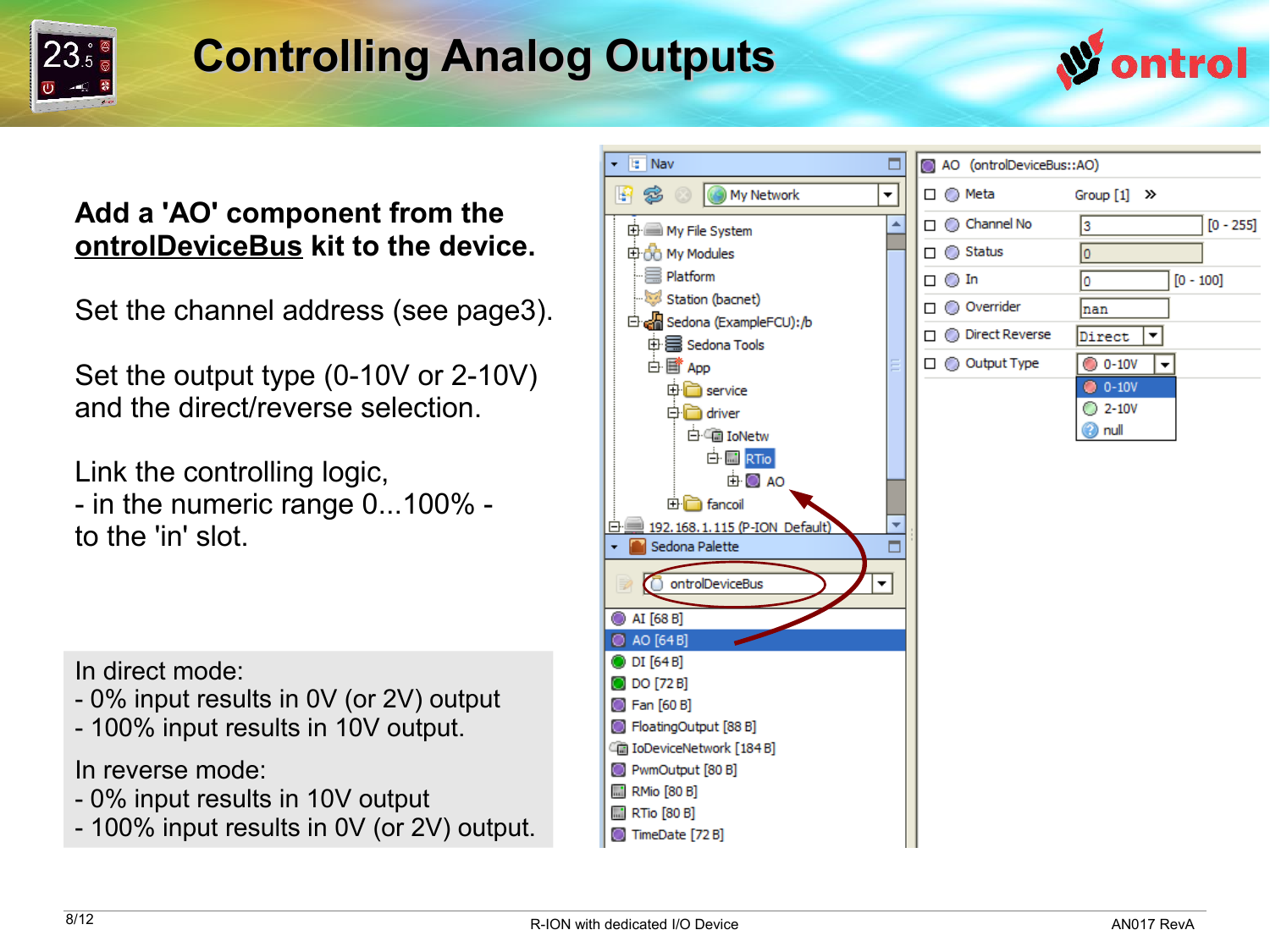

## **Controlling Analog Outputs**



#### **Add a 'AO' component from the ontrolDeviceBus kit to the device.**

Set the channel address (see page3).

Set the output type (0-10V or 2-10V) and the direct/reverse selection.

Link the controlling logic, - in the numeric range 0...100% to the 'in' slot.

In direct mode:

- 0% input results in 0V (or 2V) output
- 100% input results in 10V output.

In reverse mode:

- 0% input results in 10V output
- 100% input results in 0V (or 2V) output.

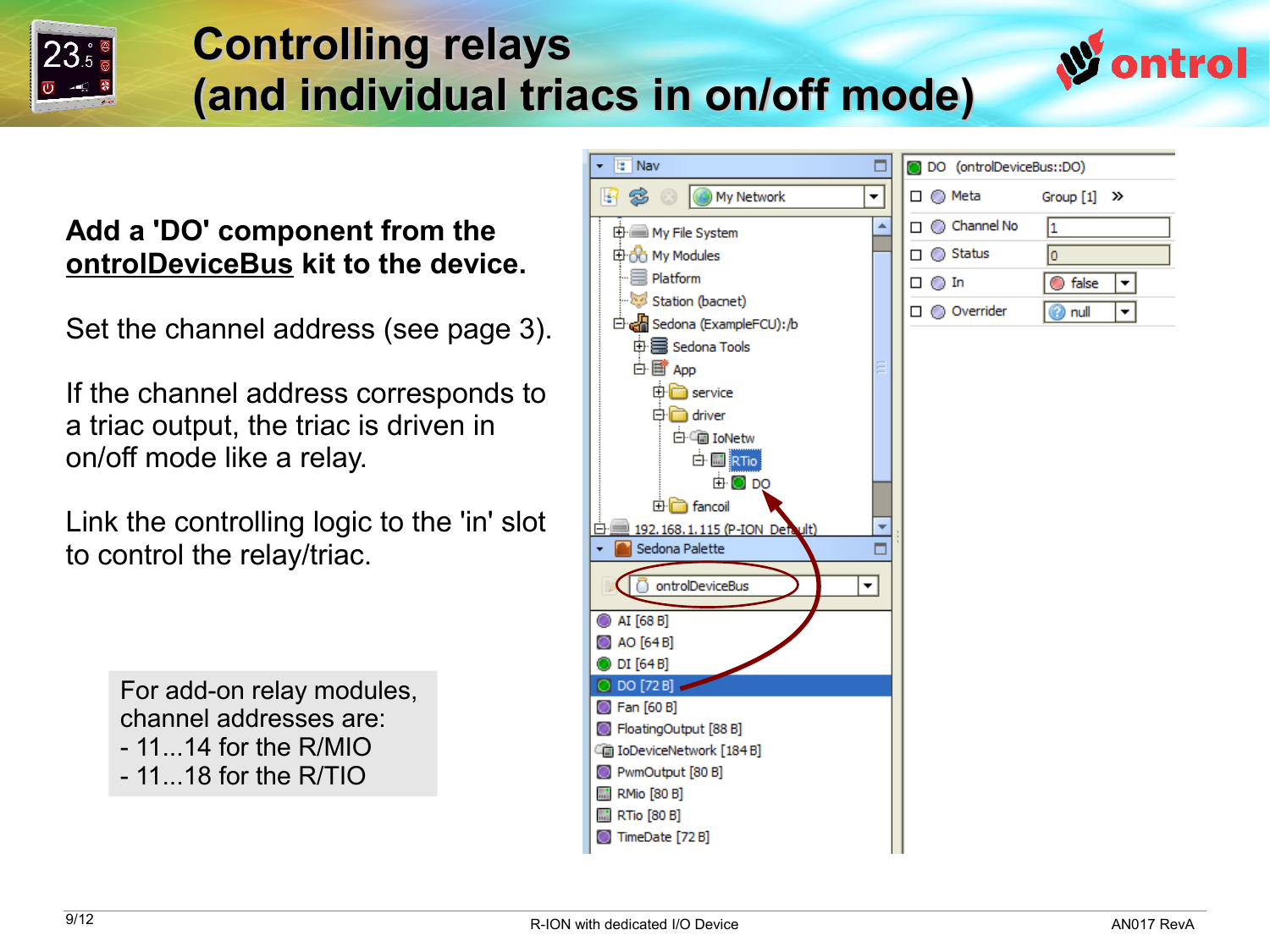

### **Controlling relays (and individual triacs in on/off mode)**

#### **Add a 'DO' component from the ontrolDeviceBus kit to the device.**

Set the channel address (see page 3).

If the channel address corresponds to a triac output, the triac is driven in on/off mode like a relay.

Link the controlling logic to the 'in' slot to control the relay/triac.

> For add-on relay modules, channel addresses are:  $-11$ ...14 for the R/MIO - 11...18 for the R/TIO



ntrol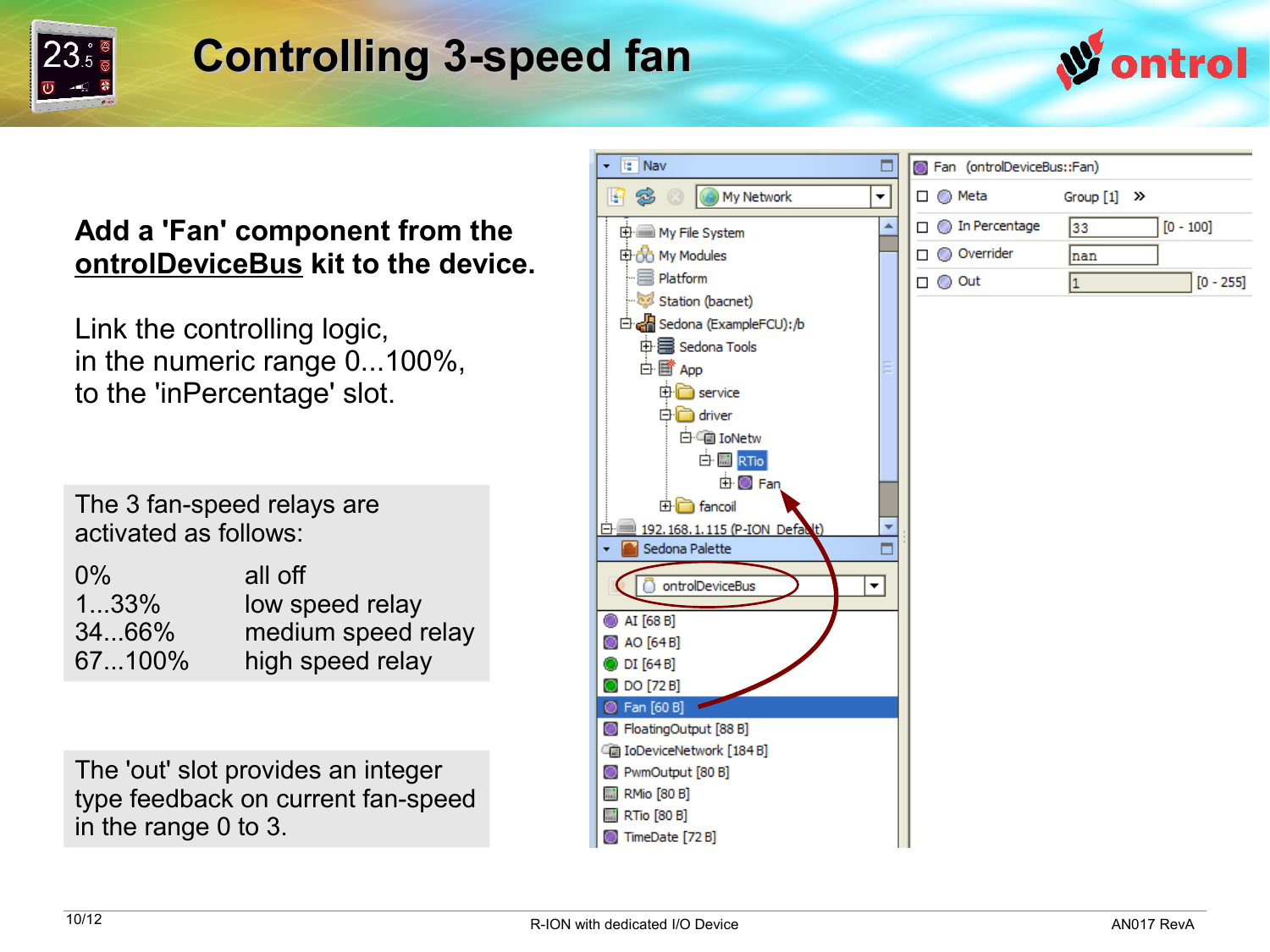

### **Controlling 3-speed fan**



#### **Add a 'Fan' component from the ontrolDeviceBus kit to the device.**

Link the controlling logic, in the numeric range 0...100%, to the 'inPercentage' slot.

The 3 fan-speed relays are activated as follows:

| $0\%$  | all off            |
|--------|--------------------|
| 133%   | low speed relay    |
| 3466%  | medium speed relay |
| 67100% | high speed relay   |
|        |                    |

The 'out' slot provides an integer type feedback on current fan-speed in the range 0 to 3.

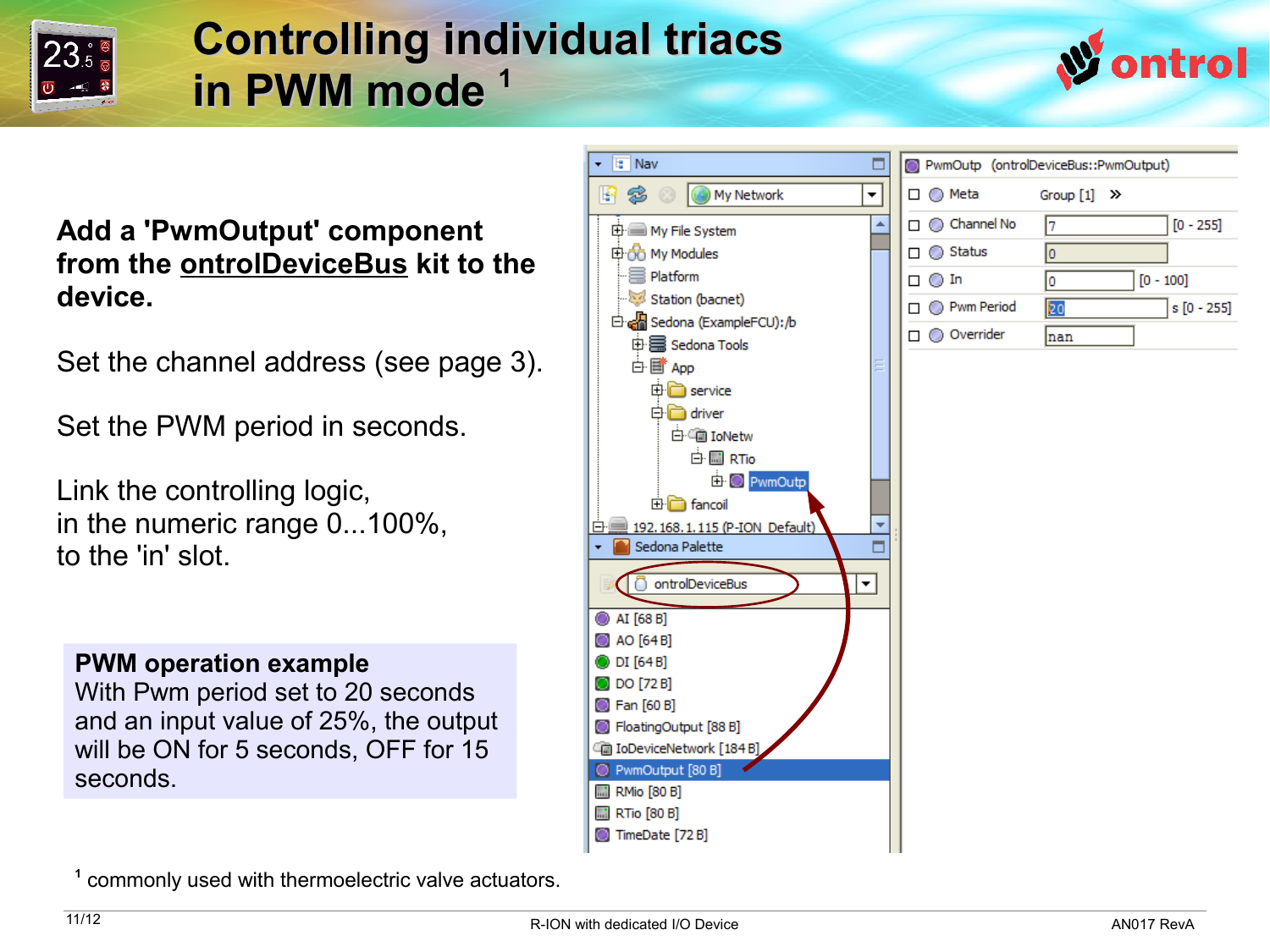

### **Controlling individual triacs in PWM mode <sup>1</sup>**



#### **Add a 'PwmOutput' component from the ontrolDeviceBus kit to the device.**

Set the channel address (see page 3).

Set the PWM period in seconds.

Link the controlling logic, in the numeric range 0...100%, to the 'in' slot.

#### **PWM operation example**

With Pwm period set to 20 seconds and an input value of 25%, the output will be ON for 5 seconds, OFF for 15 seconds.



**1** commonly used with thermoelectric valve actuators.